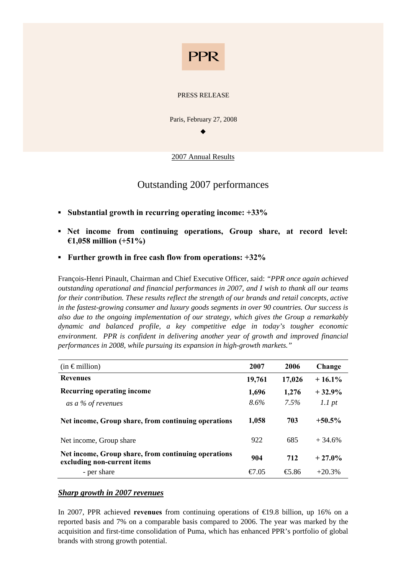

#### PRESS RELEASE

Paris, February 27, 2008

 $\bullet$ 

2007 Annual Results

## Outstanding 2007 performances

- **▪ Substantial growth in recurring operating income: +33%**
- **▪ Net income from continuing operations, Group share, at record level: €1,058 million (+51%)**
- **▪ Further growth in free cash flow from operations: +32%**

François-Henri Pinault, Chairman and Chief Executive Officer, said: *"PPR once again achieved outstanding operational and financial performances in 2007, and I wish to thank all our teams for their contribution. These results reflect the strength of our brands and retail concepts, active in the fastest-growing consumer and luxury goods segments in over 90 countries. Our success is also due to the ongoing implementation of our strategy, which gives the Group a remarkably dynamic and balanced profile, a key competitive edge in today's tougher economic environment. PPR is confident in delivering another year of growth and improved financial performances in 2008, while pursuing its expansion in high-growth markets."*

| $(in \in$ million)                                                                 | 2007            | 2006                              | Change    |
|------------------------------------------------------------------------------------|-----------------|-----------------------------------|-----------|
| <b>Revenues</b>                                                                    | 19,761          | 17,026                            | $+16.1%$  |
| Recurring operating income                                                         | 1,696           | 1,276                             | $+32.9%$  |
| as a % of revenues                                                                 | $8.6\%$         | 7.5%                              | 1.1 pt    |
| Net income, Group share, from continuing operations                                | 1,058           | 703                               | $+50.5\%$ |
| Net income, Group share                                                            | 922             | 685                               | $+34.6%$  |
| Net income, Group share, from continuing operations<br>excluding non-current items | 904             | 712                               | $+27.0%$  |
| - per share                                                                        | $\epsilon$ 7.05 | $\textcolor{blue}{\textbf{6.86}}$ | $+20.3%$  |

### *Sharp growth in 2007 revenues*

In 2007, PPR achieved **revenues** from continuing operations of €19.8 billion, up 16% on a reported basis and 7% on a comparable basis compared to 2006. The year was marked by the acquisition and first-time consolidation of Puma, which has enhanced PPR's portfolio of global brands with strong growth potential.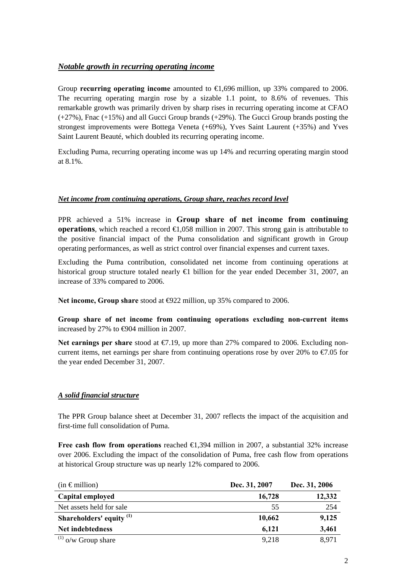## *Notable growth in recurring operating income*

Group **recurring operating income** amounted to €1,696 million, up 33% compared to 2006. The recurring operating margin rose by a sizable 1.1 point, to 8.6% of revenues. This remarkable growth was primarily driven by sharp rises in recurring operating income at CFAO (+27%), Fnac (+15%) and all Gucci Group brands (+29%). The Gucci Group brands posting the strongest improvements were Bottega Veneta (+69%), Yves Saint Laurent (+35%) and Yves Saint Laurent Beauté, which doubled its recurring operating income.

Excluding Puma, recurring operating income was up 14% and recurring operating margin stood at 8.1%.

### *Net income from continuing operations, Group share, reaches record level*

PPR achieved a 51% increase in **Group share of net income from continuing operations**, which reached a record  $\bigoplus$ , 058 million in 2007. This strong gain is attributable to the positive financial impact of the Puma consolidation and significant growth in Group operating performances, as well as strict control over financial expenses and current taxes.

Excluding the Puma contribution, consolidated net income from continuing operations at historical group structure totaled nearly  $\bigoplus$  billion for the year ended December 31, 2007, an increase of 33% compared to 2006.

Net income, Group share stood at **⊕22** million, up 35% compared to 2006.

**Group share of net income from continuing operations excluding non-current items**  increased by 27% to  $\epsilon$ 904 million in 2007.

**Net earnings per share** stood at €7.19, up more than 27% compared to 2006. Excluding noncurrent items, net earnings per share from continuing operations rose by over 20% to  $\epsilon/7.05$  for the year ended December 31, 2007.

### *A solid financial structure*

The PPR Group balance sheet at December 31, 2007 reflects the impact of the acquisition and first-time full consolidation of Puma.

**Free cash flow from operations** reached  $\bigoplus$ , 394 million in 2007, a substantial 32% increase over 2006. Excluding the impact of the consolidation of Puma, free cash flow from operations at historical Group structure was up nearly 12% compared to 2006.

| $(in \in \mathbb{R})$               | Dec. 31, 2007 | Dec. 31, 2006 |
|-------------------------------------|---------------|---------------|
| Capital employed                    | 16,728        | 12,332        |
| Net assets held for sale            | 55            | 254           |
| Shareholders' equity <sup>(1)</sup> | 10,662        | 9,125         |
| Net indebtedness                    | 6,121         | 3,461         |
| $^{(1)}$ o/w Group share            | 9,218         | 8,971         |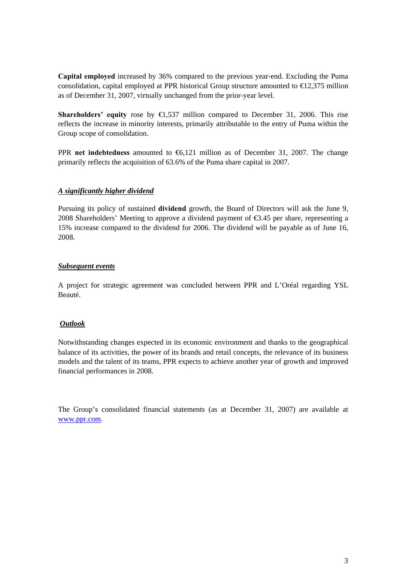**Capital employed** increased by 36% compared to the previous year-end. Excluding the Puma consolidation, capital employed at PPR historical Group structure amounted to  $\epsilon$ 12,375 million as of December 31, 2007, virtually unchanged from the prior-year level.

**Shareholders' equity** rose by €1,537 million compared to December 31, 2006. This rise reflects the increase in minority interests, primarily attributable to the entry of Puma within the Group scope of consolidation.

PPR **net indebtedness** amounted to €6,121 million as of December 31, 2007. The change primarily reflects the acquisition of 63.6% of the Puma share capital in 2007.

#### *A significantly higher dividend*

Pursuing its policy of sustained **dividend** growth, the Board of Directors will ask the June 9, 2008 Shareholders' Meeting to approve a dividend payment of  $\epsilon$ 3.45 per share, representing a 15% increase compared to the dividend for 2006. The dividend will be payable as of June 16, 2008.

#### *Subsequent events*

A project for strategic agreement was concluded between PPR and L'Oréal regarding YSL Beauté.

### *Outlook*

Notwithstanding changes expected in its economic environment and thanks to the geographical balance of its activities, the power of its brands and retail concepts, the relevance of its business models and the talent of its teams, PPR expects to achieve another year of growth and improved financial performances in 2008.

The Group's consolidated financial statements (as at December 31, 2007) are available at www.ppr.com.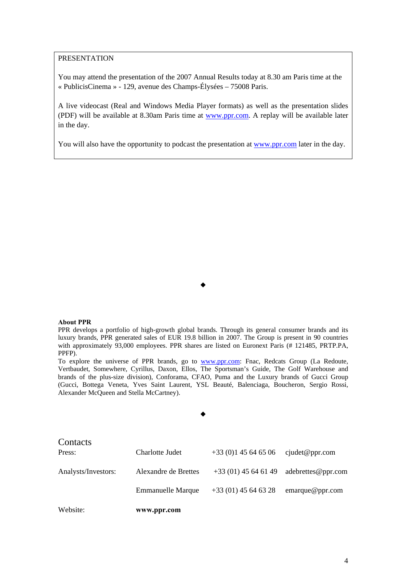#### PRESENTATION

You may attend the presentation of the 2007 Annual Results today at 8.30 am Paris time at the « PublicisCinema » - 129, avenue des Champs-Élysées – 75008 Paris.

A live videocast (Real and Windows Media Player formats) as well as the presentation slides (PDF) will be available at 8.30am Paris time at www.ppr.com. A replay will be available later in the day.

You will also have the opportunity to podcast the presentation at www.ppr.com later in the day.

#### $\bullet$

#### **About PPR**

PPR develops a portfolio of high-growth global brands. Through its general consumer brands and its luxury brands, PPR generated sales of EUR 19.8 billion in 2007. The Group is present in 90 countries with approximately 93,000 employees. PPR shares are listed on Euronext Paris (# 121485, PRTP.PA, PPFP).

To explore the universe of PPR brands, go to www.ppr.com: Fnac, Redcats Group (La Redoute, Vertbaudet, Somewhere, Cyrillus, Daxon, Ellos, The Sportsman's Guide, The Golf Warehouse and brands of the plus-size division), Conforama, CFAO, Puma and the Luxury brands of Gucci Group (Gucci, Bottega Veneta, Yves Saint Laurent, YSL Beauté, Balenciaga, Boucheron, Sergio Rossi, Alexander McQueen and Stella McCartney).

#### $\bullet$

| Website:            | www.ppr.com              |                       |                    |
|---------------------|--------------------------|-----------------------|--------------------|
|                     | <b>Emmanuelle Marque</b> | $+33(01)$ 45 64 63 28 | emarque@ppr.com    |
| Analysts/Investors: | Alexandre de Brettes     | $+33(01)$ 45 64 61 49 | adebrettes@ppr.com |
| Contacts<br>Press:  | Charlotte Judet          | $+33(0)145646506$     | cjudet@ppr.com     |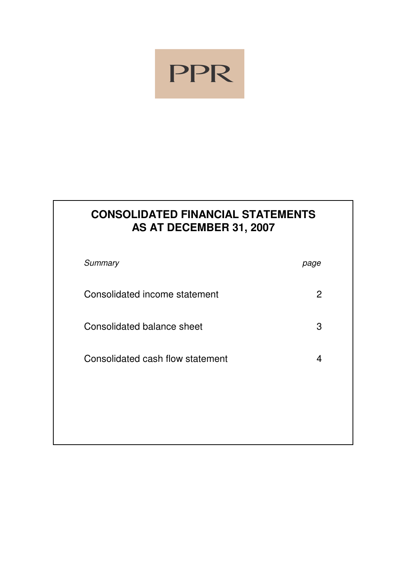

# **CONSOLIDATED FINANCIAL STATEMENTS AS AT DECEMBER 31, 2007**

| Summary                           | page |
|-----------------------------------|------|
| Consolidated income statement     | 2    |
| <b>Consolidated balance sheet</b> | 3    |
| Consolidated cash flow statement  | 4    |
|                                   |      |
|                                   |      |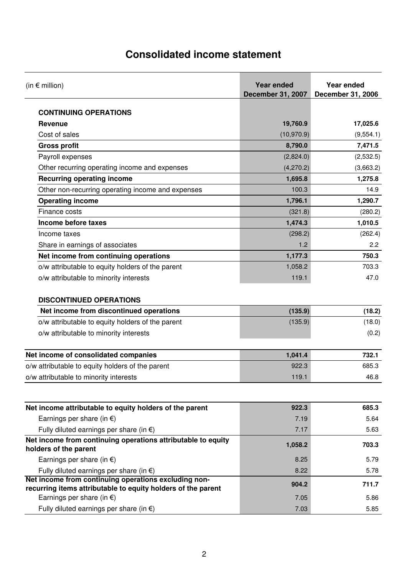# **Consolidated income statement**

| (in $\epsilon$ million)                                                               | <b>Year ended</b><br><b>December 31, 2007</b> | Year ended<br><b>December 31, 2006</b> |
|---------------------------------------------------------------------------------------|-----------------------------------------------|----------------------------------------|
| <b>CONTINUING OPERATIONS</b>                                                          |                                               |                                        |
| <b>Revenue</b>                                                                        | 19,760.9                                      | 17,025.6                               |
| Cost of sales                                                                         | (10, 970.9)                                   | (9,554.1)                              |
| <b>Gross profit</b>                                                                   | 8,790.0                                       | 7,471.5                                |
| Payroll expenses                                                                      | (2,824.0)                                     | (2,532.5)                              |
| Other recurring operating income and expenses                                         | (4,270.2)                                     | (3,663.2)                              |
| <b>Recurring operating income</b>                                                     | 1,695.8                                       | 1,275.8                                |
| Other non-recurring operating income and expenses                                     | 100.3                                         | 14.9                                   |
| <b>Operating income</b>                                                               | 1,796.1                                       | 1,290.7                                |
| Finance costs                                                                         | (321.8)                                       | (280.2)                                |
| Income before taxes                                                                   | 1,474.3                                       | 1,010.5                                |
| Income taxes                                                                          | (298.2)                                       | (262.4)                                |
| Share in earnings of associates                                                       | 1.2                                           | 2.2                                    |
| Net income from continuing operations                                                 | 1,177.3                                       | 750.3                                  |
| o/w attributable to equity holders of the parent                                      | 1,058.2                                       | 703.3                                  |
| o/w attributable to minority interests                                                | 119.1                                         | 47.0                                   |
| <b>DISCONTINUED OPERATIONS</b>                                                        |                                               |                                        |
| Net income from discontinued operations                                               | (135.9)                                       | (18.2)                                 |
| o/w attributable to equity holders of the parent                                      | (135.9)                                       | (18.0)                                 |
| o/w attributable to minority interests                                                |                                               | (0.2)                                  |
| Net income of consolidated companies                                                  | 1,041.4                                       | 732.1                                  |
| o/w attributable to equity holders of the parent                                      | 922.3                                         | 685.3                                  |
| o/w attributable to minority interests                                                | 119.1                                         | 46.8                                   |
|                                                                                       |                                               |                                        |
| Net income attributable to equity holders of the parent                               | 922.3                                         | 685.3                                  |
| Earnings per share (in $\epsilon$ )                                                   | 7.19                                          | 5.64                                   |
| Fully diluted earnings per share (in $\epsilon$ )                                     | 7.17                                          | 5.63                                   |
| Net income from continuing operations attributable to equity<br>holders of the parent | 1,058.2                                       | 703.3                                  |
| Earnings per share (in $\epsilon$ )                                                   | 8.25                                          | 5.79                                   |
| Fully diluted earnings per share (in $\epsilon$ )                                     | 8.22                                          | 5.78                                   |
| Net income from continuing operations excluding non-                                  | 904.2                                         | 711.7                                  |
| recurring items attributable to equity holders of the parent                          |                                               |                                        |
| Earnings per share (in $\epsilon$ )                                                   | 7.05                                          | 5.86                                   |
| Fully diluted earnings per share (in $\epsilon$ )                                     | 7.03                                          | 5.85                                   |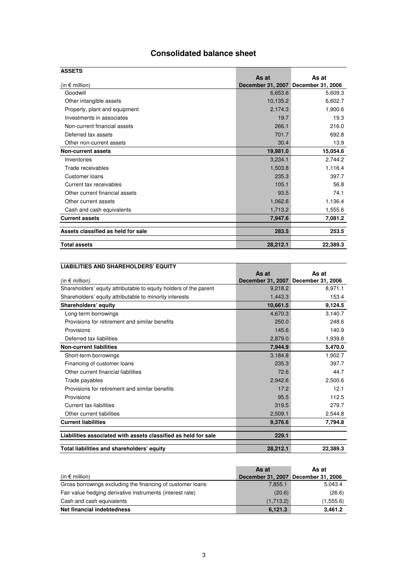## **Consolidated balance sheet**

| <b>ASSETS</b>                      |          |                                     |
|------------------------------------|----------|-------------------------------------|
|                                    | As at    | As at                               |
| (in $\epsilon$ million)            |          | December 31, 2007 December 31, 2006 |
| Goodwill                           | 6,653.6  | 5,609.3                             |
| Other intangible assets            | 10,135.2 | 6,602.7                             |
| Property, plant and equipment      | 2,174.3  | 1,900.6                             |
| Investments in associates          | 19.7     | 19.3                                |
| Non-current financial assets       | 266.1    | 216.0                               |
| Deferred tax assets                | 701.7    | 692.8                               |
| Other non-current assets           | 30.4     | 13.9                                |
| Non-current assets                 | 19,981.0 | 15,054.6                            |
| Inventories                        | 3,234.1  | 2,744.2                             |
| Trade receivables                  | 1,503.8  | 1,116.4                             |
| Customer loans                     | 235.3    | 397.7                               |
| Current tax receivables            | 105.1    | 56.8                                |
| Other current financial assets     | 93.5     | 74.1                                |
| Other current assets               | 1,062.6  | 1,136.4                             |
| Cash and cash equivalents          | 1,713.2  | 1,555.6                             |
| <b>Current assets</b>              | 7,947.6  | 7,081.2                             |
| Assets classified as held for sale | 283.5    | 253.5                               |
| <b>Total assets</b>                | 28,212.1 | 22,389.3                            |

| <b>LIABILITIES AND SHAREHOLDERS' EQUITY</b>                       |                          |                   |
|-------------------------------------------------------------------|--------------------------|-------------------|
|                                                                   | As at                    | As at             |
| (in $\epsilon$ million)                                           | <b>December 31, 2007</b> | December 31, 2006 |
| Shareholders' equity attributable to equity holders of the parent | 9,218.2                  | 8,971.1           |
| Shareholders' equity attributable to minority interests           | 1,443.3                  | 153.4             |
| Shareholders' equity                                              | 10,661.5                 | 9,124.5           |
| Long-term borrowings                                              | 4,670.3                  | 3,140.7           |
| Provisions for retirement and similar benefits                    | 250.0                    | 248.6             |
| Provisions                                                        | 145.6                    | 140.9             |
| Deferred tax liabilities                                          | 2,879.0                  | 1,939.8           |
| <b>Non-current liabilities</b>                                    | 7,944.9                  | 5,470.0           |
| Short-term borrowings                                             | 3.184.8                  | 1,902.7           |
| Financing of customer loans                                       | 235.3                    | 397.7             |
| Other current financial liabilities                               | 72.6                     | 44.7              |
| Trade payables                                                    | 2,942.6                  | 2,500.6           |
| Provisions for retirement and similar benefits                    | 17.2                     | 12.1              |
| Provisions                                                        | 95.5                     | 112.5             |
| Current tax liabilities                                           | 319.5                    | 279.7             |
| Other current liabilities                                         | 2,509.1                  | 2,544.8           |
| <b>Current liabilities</b>                                        | 9,376.6                  | 7,794.8           |
| Liabilities associated with assets classified as held for sale    | 229.1                    |                   |
| Total liabilities and shareholders' equity                        | 28,212.1                 | 22,389.3          |

|                                                            | As at                    | As at             |
|------------------------------------------------------------|--------------------------|-------------------|
| (in $\epsilon$ million)                                    | <b>December 31, 2007</b> | December 31, 2006 |
| Gross borrowings excluding the financing of customer loans | 7.855.1                  | 5.043.4           |
| Fair value hedging derivative instruments (interest rate)  | (20.6)                   | (26.6)            |
| Cash and cash equivalents                                  | (1,713.2)                | (1,555.6)         |
| Net financial indebtedness                                 | 6.121.3                  | 3.461.2           |